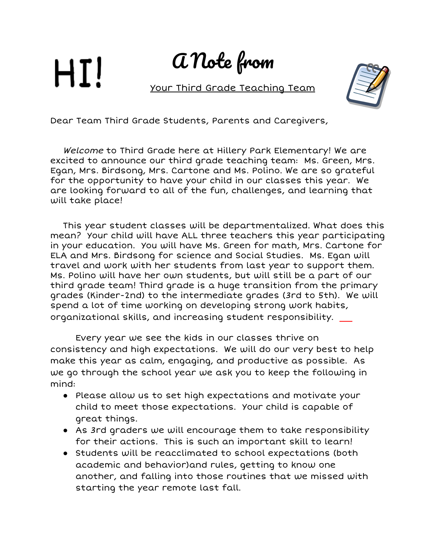## HI!

A Note from

Your Third Grade Teaching Team



Dear Team Third Grade Students, Parents and Caregivers,

Welcome to Third Grade here at Hillery Park Elementary! We are excited to announce our third grade teaching team: Ms. Green, Mrs. Egan, Mrs. Birdsong, Mrs. Cartone and Ms. Polino. We are so grateful for the opportunity to have your child in our classes this year. We are looking forward to all of the fun, challenges, and learning that will take place!

This year student classes will be departmentalized. What does this mean? Your child will have ALL three teachers this year participating in your education. You will have Ms. Green for math, Mrs. Cartone for ELA and Mrs. Birdsong for science and Social Studies. Ms. Egan will travel and work with her students from last year to support them. Ms. Polino will have her own students, but will still be a part of our third grade team! Third grade is a huge transition from the primary grades (Kinder-2nd) to the intermediate grades (3rd to 5th). We will spend a lot of time working on developing strong work habits, organizational skills, and increasing student responsibility.

Every year we see the kids in our classes thrive on consistency and high expectations. We will do our very best to help make this year as calm, engaging, and productive as possible. As we go through the school year we ask you to keep the following in mind:

- Please allow us to set high expectations and motivate your child to meet those expectations. Your child is capable of great things.
- As 3rd graders we will encourage them to take responsibility for their actions. This is such an important skill to learn!
- Students will be reacclimated to school expectations (both academic and behavior)and rules, getting to know one another, and falling into those routines that we missed with starting the year remote last fall.